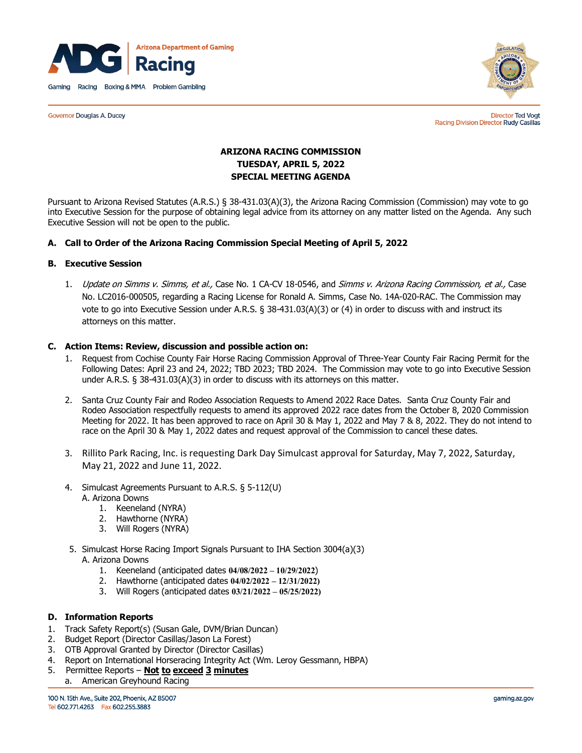

**Governor Douglas A. Ducey** 



**Director Ted Vogt** Racing Division Director Rudy Casillas

# **ARIZONA RACING COMMISSION TUESDAY, APRIL 5, 2022 SPECIAL MEETING AGENDA**

Pursuant to Arizona Revised Statutes (A.R.S.) § 38-431.03(A)(3), the Arizona Racing Commission (Commission) may vote to go into Executive Session for the purpose of obtaining legal advice from its attorney on any matter listed on the Agenda. Any such Executive Session will not be open to the public.

# **A. Call to Order of the Arizona Racing Commission Special Meeting of April 5, 2022**

# **B. Executive Session**

1. Update on Simms v. Simms, et al., Case No. 1 CA-CV 18-0546, and Simms v. Arizona Racing Commission, et al., Case No. LC2016-000505, regarding a Racing License for Ronald A. Simms, Case No. 14A-020-RAC. The Commission may vote to go into Executive Session under A.R.S. § 38-431.03(A)(3) or (4) in order to discuss with and instruct its attorneys on this matter.

## **C. Action Items: Review, discussion and possible action on:**

- 1. Request from Cochise County Fair Horse Racing Commission Approval of Three-Year County Fair Racing Permit for the Following Dates: April 23 and 24, 2022; TBD 2023; TBD 2024. The Commission may vote to go into Executive Session under A.R.S. § 38-431.03(A)(3) in order to discuss with its attorneys on this matter.
- 2. Santa Cruz County Fair and Rodeo Association Requests to Amend 2022 Race Dates. Santa Cruz County Fair and Rodeo Association respectfully requests to amend its approved 2022 race dates from the October 8, 2020 Commission Meeting for 2022. It has been approved to race on April 30 & May 1, 2022 and May 7 & 8, 2022. They do not intend to race on the April 30 & May 1, 2022 dates and request approval of the Commission to cancel these dates.
- 3. Rillito Park Racing, Inc. is requesting Dark Day Simulcast approval for Saturday, May 7, 2022, Saturday, May 21, 2022 and June 11, 2022.
- 4. Simulcast Agreements Pursuant to A.R.S. § 5-112(U) A. Arizona Downs
	- 1. Keeneland (NYRA)
	- 2. Hawthorne (NYRA)
	- 3. Will Rogers (NYRA)
- 5. Simulcast Horse Racing Import Signals Pursuant to IHA Section 3004(a)(3) A. Arizona Downs
	- 1. Keeneland (anticipated dates **04/08/2022 – 10/29/2022**)
	- 2. Hawthorne (anticipated dates **04/02/2022 – 12/31/2022)**
	- 3. Will Rogers (anticipated dates **03/21/2022 – 05/25/2022)**

# **D. Information Reports**

- 1. Track Safety Report(s) (Susan Gale, DVM/Brian Duncan)
- 2. Budget Report (Director Casillas/Jason La Forest)
- 3. OTB Approval Granted by Director (Director Casillas)
- 4. Report on International Horseracing Integrity Act (Wm. Leroy Gessmann, HBPA)
- 5. Permittee Reports **Not to exceed 3 minutes**
	- a. American Greyhound Racing